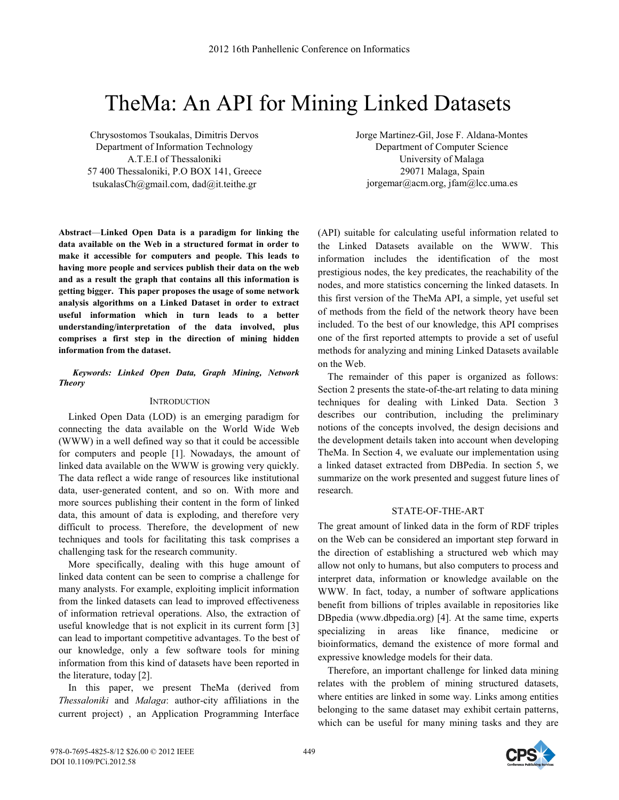# TheMa: An API for Mining Linked Datasets

Chrysostomos Tsoukalas, Dimitris Dervos Department of Information Technology A.T.E.I of Thessaloniki 57 400 Thessaloniki, P.O BOX 141, Greece tsukalasCh@gmail.com, dad@it.teithe.gr

**Abstract**—**Linked Open Data is a paradigm for linking the data available on the Web in a structured format in order to make it accessible for computers and people. This leads to having more people and services publish their data on the web and as a result the graph that contains all this information is getting bigger. This paper proposes the usage of some network analysis algorithms on a Linked Dataset in order to extract useful information which in turn leads to a better understanding/interpretation of the data involved, plus comprises a first step in the direction of mining hidden information from the dataset.** 

# *Keywords: Linked Open Data, Graph Mining, Network Theory*

## **INTRODUCTION**

Linked Open Data (LOD) is an emerging paradigm for connecting the data available on the World Wide Web (WWW) in a well defined way so that it could be accessible for computers and people [1]. Nowadays, the amount of linked data available on the WWW is growing very quickly. The data reflect a wide range of resources like institutional data, user-generated content, and so on. With more and more sources publishing their content in the form of linked data, this amount of data is exploding, and therefore very difficult to process. Therefore, the development of new techniques and tools for facilitating this task comprises a challenging task for the research community.

More specifically, dealing with this huge amount of linked data content can be seen to comprise a challenge for many analysts. For example, exploiting implicit information from the linked datasets can lead to improved effectiveness of information retrieval operations. Also, the extraction of useful knowledge that is not explicit in its current form [3] can lead to important competitive advantages. To the best of our knowledge, only a few software tools for mining information from this kind of datasets have been reported in the literature, today [2].

In this paper, we present TheMa (derived from *Thessaloniki* and *Malaga*: author-city affiliations in the current project) , an Application Programming Interface

Jorge Martinez-Gil, Jose F. Aldana-Montes Department of Computer Science University of Malaga 29071 Malaga, Spain jorgemar@acm.org, jfam@lcc.uma.es

(API) suitable for calculating useful information related to the Linked Datasets available on the WWW. This information includes the identification of the most prestigious nodes, the key predicates, the reachability of the nodes, and more statistics concerning the linked datasets. In this first version of the TheMa API, a simple, yet useful set of methods from the field of the network theory have been included. To the best of our knowledge, this API comprises one of the first reported attempts to provide a set of useful methods for analyzing and mining Linked Datasets available on the Web.

The remainder of this paper is organized as follows: Section 2 presents the state-of-the-art relating to data mining techniques for dealing with Linked Data. Section 3 describes our contribution, including the preliminary notions of the concepts involved, the design decisions and the development details taken into account when developing TheMa. In Section 4, we evaluate our implementation using a linked dataset extracted from DBPedia. In section 5, we summarize on the work presented and suggest future lines of research.

# STATE-OF-THE-ART

The great amount of linked data in the form of RDF triples on the Web can be considered an important step forward in the direction of establishing a structured web which may allow not only to humans, but also computers to process and interpret data, information or knowledge available on the WWW. In fact, today, a number of software applications benefit from billions of triples available in repositories like DBpedia (www.dbpedia.org) [4]. At the same time, experts specializing in areas like finance, medicine or bioinformatics, demand the existence of more formal and expressive knowledge models for their data.

Therefore, an important challenge for linked data mining relates with the problem of mining structured datasets, where entities are linked in some way. Links among entities belonging to the same dataset may exhibit certain patterns, which can be useful for many mining tasks and they are

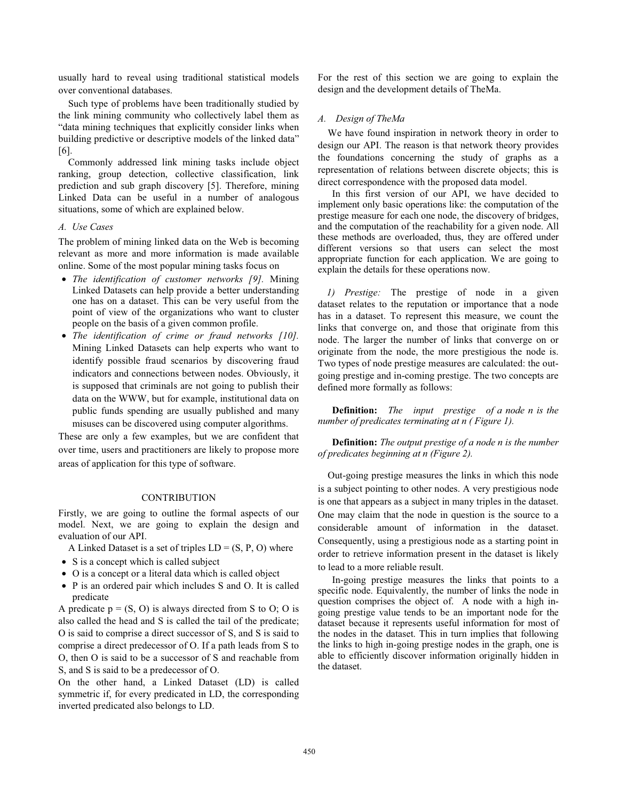usually hard to reveal using traditional statistical models over conventional databases.

Such type of problems have been traditionally studied by the link mining community who collectively label them as "data mining techniques that explicitly consider links when building predictive or descriptive models of the linked data" [6].

Commonly addressed link mining tasks include object ranking, group detection, collective classification, link prediction and sub graph discovery [5]. Therefore, mining Linked Data can be useful in a number of analogous situations, some of which are explained below.

## *A. Use Cases*

The problem of mining linked data on the Web is becoming relevant as more and more information is made available online. Some of the most popular mining tasks focus on

- *The identification of customer networks [9].* Mining Linked Datasets can help provide a better understanding one has on a dataset. This can be very useful from the point of view of the organizations who want to cluster people on the basis of a given common profile.
- *The identification of crime or fraud networks [10].* Mining Linked Datasets can help experts who want to identify possible fraud scenarios by discovering fraud indicators and connections between nodes. Obviously, it is supposed that criminals are not going to publish their data on the WWW, but for example, institutional data on public funds spending are usually published and many misuses can be discovered using computer algorithms.

These are only a few examples, but we are confident that over time, users and practitioners are likely to propose more areas of application for this type of software.

## **CONTRIBUTION**

Firstly, we are going to outline the formal aspects of our model. Next, we are going to explain the design and evaluation of our API.

A Linked Dataset is a set of triples  $LD = (S, P, O)$  where

- S is a concept which is called subject
- O is a concept or a literal data which is called object
- P is an ordered pair which includes S and O. It is called predicate

A predicate  $p = (S, O)$  is always directed from S to O; O is also called the head and S is called the tail of the predicate; O is said to comprise a direct successor of S, and S is said to comprise a direct predecessor of O. If a path leads from S to O, then O is said to be a successor of S and reachable from S, and S is said to be a predecessor of O.

On the other hand, a Linked Dataset (LD) is called symmetric if, for every predicated in LD, the corresponding inverted predicated also belongs to LD.

For the rest of this section we are going to explain the design and the development details of TheMa.

#### *A. Design of TheMa*

We have found inspiration in network theory in order to design our API. The reason is that network theory provides the foundations concerning the study of graphs as a representation of relations between discrete objects; this is direct correspondence with the proposed data model.

In this first version of our API, we have decided to implement only basic operations like: the computation of the prestige measure for each one node, the discovery of bridges, and the computation of the reachability for a given node. All these methods are overloaded, thus, they are offered under different versions so that users can select the most appropriate function for each application. We are going to explain the details for these operations now.

*1) Prestige:* The prestige of node in a given dataset relates to the reputation or importance that a node has in a dataset. To represent this measure, we count the links that converge on, and those that originate from this node. The larger the number of links that converge on or originate from the node, the more prestigious the node is. Two types of node prestige measures are calculated: the outgoing prestige and in-coming prestige. The two concepts are defined more formally as follows:

**Definition:** *The input prestige of a node n is the number of predicates terminating at n ( Figure 1).* 

**Definition:** *The output prestige of a node n is the number of predicates beginning at n (Figure 2).* 

Out-going prestige measures the links in which this node is a subject pointing to other nodes. A very prestigious node is one that appears as a subject in many triples in the dataset. One may claim that the node in question is the source to a considerable amount of information in the dataset. Consequently, using a prestigious node as a starting point in order to retrieve information present in the dataset is likely to lead to a more reliable result.

In-going prestige measures the links that points to a specific node. Equivalently, the number of links the node in question comprises the object of. A node with a high ingoing prestige value tends to be an important node for the dataset because it represents useful information for most of the nodes in the dataset. This in turn implies that following the links to high in-going prestige nodes in the graph, one is able to efficiently discover information originally hidden in the dataset.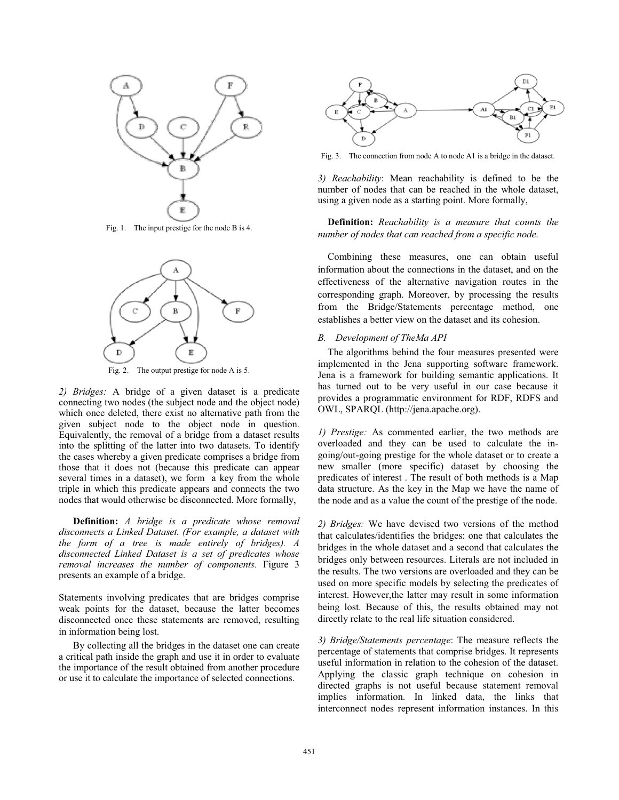

Fig. 1. The input prestige for the node B is 4.



Fig. 2. The output prestige for node A is 5.

*2) Bridges:* A bridge of a given dataset is a predicate connecting two nodes (the subject node and the object node) which once deleted, there exist no alternative path from the given subject node to the object node in question. Equivalently, the removal of a bridge from a dataset results into the splitting of the latter into two datasets. To identify the cases whereby a given predicate comprises a bridge from those that it does not (because this predicate can appear several times in a dataset), we form a key from the whole triple in which this predicate appears and connects the two nodes that would otherwise be disconnected. More formally,

**Definition:** *A bridge is a predicate whose removal disconnects a Linked Dataset. (For example, a dataset with the form of a tree is made entirely of bridges). A disconnected Linked Dataset is a set of predicates whose removal increases the number of components.* Figure 3 presents an example of a bridge.

Statements involving predicates that are bridges comprise weak points for the dataset, because the latter becomes disconnected once these statements are removed, resulting in information being lost.

By collecting all the bridges in the dataset one can create a critical path inside the graph and use it in order to evaluate the importance of the result obtained from another procedure or use it to calculate the importance of selected connections.



Fig. 3. The connection from node A to node A1 is a bridge in the dataset.

*3) Reachability*: Mean reachability is defined to be the number of nodes that can be reached in the whole dataset, using a given node as a starting point. More formally,

# **Definition:** *Reachability is a measure that counts the number of nodes that can reached from a specific node*.

Combining these measures, one can obtain useful information about the connections in the dataset, and on the effectiveness of the alternative navigation routes in the corresponding graph. Moreover, by processing the results from the Bridge/Statements percentage method, one establishes a better view on the dataset and its cohesion.

# *B. Development of TheMa API*

The algorithms behind the four measures presented were implemented in the Jena supporting software framework. Jena is a framework for building semantic applications. It has turned out to be very useful in our case because it provides a programmatic environment for RDF, RDFS and OWL, SPARQL (http://jena.apache.org).

*1) Prestige:* As commented earlier, the two methods are overloaded and they can be used to calculate the ingoing/out-going prestige for the whole dataset or to create a new smaller (more specific) dataset by choosing the predicates of interest . The result of both methods is a Map data structure. As the key in the Map we have the name of the node and as a value the count of the prestige of the node.

*2) Bridges:* We have devised two versions of the method that calculates/identifies the bridges: one that calculates the bridges in the whole dataset and a second that calculates the bridges only between resources. Literals are not included in the results. The two versions are overloaded and they can be used on more specific models by selecting the predicates of interest. However,the latter may result in some information being lost. Because of this, the results obtained may not directly relate to the real life situation considered.

*3) Bridge/Statements percentage*: The measure reflects the percentage of statements that comprise bridges. It represents useful information in relation to the cohesion of the dataset. Applying the classic graph technique on cohesion in directed graphs is not useful because statement removal implies information. In linked data, the links that interconnect nodes represent information instances. In this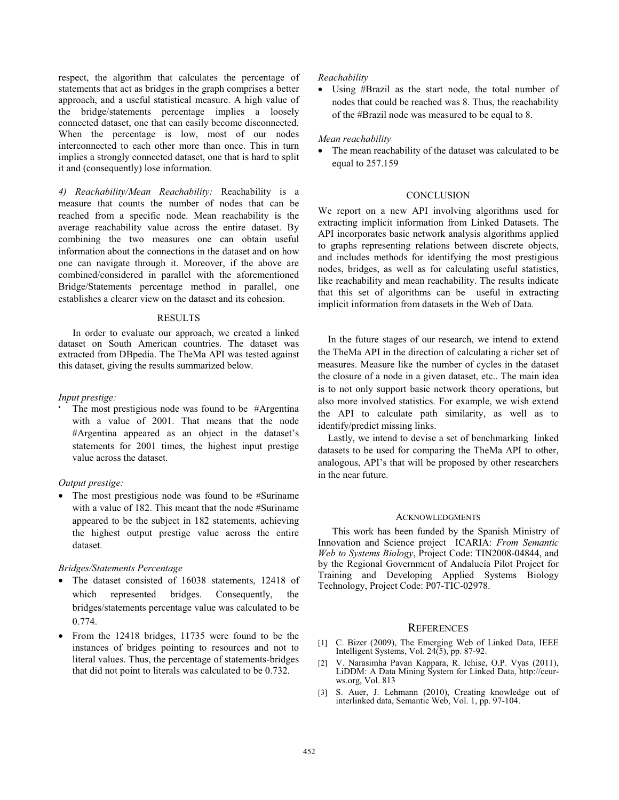respect, the algorithm that calculates the percentage of statements that act as bridges in the graph comprises a better approach, and a useful statistical measure. A high value of the bridge/statements percentage implies a loosely connected dataset, one that can easily become disconnected. When the percentage is low, most of our nodes interconnected to each other more than once. This in turn implies a strongly connected dataset, one that is hard to split it and (consequently) lose information.

*4) Reachability/Mean Reachability:* Reachability is a measure that counts the number of nodes that can be reached from a specific node. Mean reachability is the average reachability value across the entire dataset. By combining the two measures one can obtain useful information about the connections in the dataset and on how one can navigate through it. Moreover, if the above are combined/considered in parallel with the aforementioned Bridge/Statements percentage method in parallel, one establishes a clearer view on the dataset and its cohesion.

#### RESULTS

In order to evaluate our approach, we created a linked dataset on South American countries. The dataset was extracted from DBpedia. The TheMa API was tested against this dataset, giving the results summarized below.

#### *Input prestige:*

The most prestigious node was found to be #Argentina with a value of 2001. That means that the node #Argentina appeared as an object in the dataset's statements for 2001 times, the highest input prestige value across the dataset.

# *Output prestige:*

• The most prestigious node was found to be #Suriname with a value of 182. This meant that the node #Suriname appeared to be the subject in 182 statements, achieving the highest output prestige value across the entire dataset.

# *Bridges/Statements Percentage*

- The dataset consisted of 16038 statements, 12418 of which represented bridges. Consequently, the bridges/statements percentage value was calculated to be 0.774.
- From the 12418 bridges, 11735 were found to be the instances of bridges pointing to resources and not to literal values. Thus, the percentage of statements-bridges that did not point to literals was calculated to be 0.732.

#### *Reachability*

• Using #Brazil as the start node, the total number of nodes that could be reached was 8. Thus, the reachability of the #Brazil node was measured to be equal to 8.

## *Mean reachability*

The mean reachability of the dataset was calculated to be equal to 257.159

# **CONCLUSION**

We report on a new API involving algorithms used for extracting implicit information from Linked Datasets. The API incorporates basic network analysis algorithms applied to graphs representing relations between discrete objects, and includes methods for identifying the most prestigious nodes, bridges, as well as for calculating useful statistics, like reachability and mean reachability. The results indicate that this set of algorithms can be useful in extracting implicit information from datasets in the Web of Data.

In the future stages of our research, we intend to extend the TheMa API in the direction of calculating a richer set of measures. Measure like the number of cycles in the dataset the closure of a node in a given dataset, etc.. The main idea is to not only support basic network theory operations, but also more involved statistics. For example, we wish extend the API to calculate path similarity, as well as to identify/predict missing links.

Lastly, we intend to devise a set of benchmarking linked datasets to be used for comparing the TheMa API to other, analogous, API's that will be proposed by other researchers in the near future.

### ACKNOWLEDGMENTS

This work has been funded by the Spanish Ministry of Innovation and Science project ICARIA: *From Semantic Web to Systems Biology*, Project Code: TIN2008-04844, and by the Regional Government of Andalucía Pilot Project for Training and Developing Applied Systems Biology Technology, Project Code: P07-TIC-02978.

# **REFERENCES**

- [1] C. Bizer (2009), The Emerging Web of Linked Data, IEEE Intelligent Systems, Vol. 24(5), pp. 87-92.
- [2] V. Narasimha Pavan Kappara, R. Ichise, O.P. Vyas (2011), LiDDM: A Data Mining System for Linked Data, http://ceurws.org, Vol. 813
- [3] S. Auer, J. Lehmann (2010), Creating knowledge out of interlinked data, Semantic Web, Vol. 1, pp. 97-104.